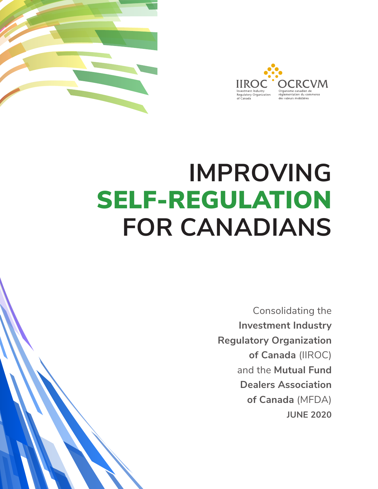



## **IMPROVING** SELF-REGULATION **FOR CANADIANS**

Consolidating the **Investment Industry Regulatory Organization of Canada** (IIROC) and the **Mutual Fund Dealers Association of Canada** (MFDA) **JUNE 2020**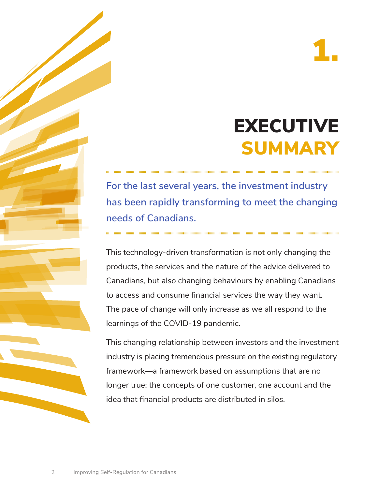## EXECUTIVE SUMMARY

**For the last several years, the investment industry has been rapidly transforming to meet the changing needs of Canadians.** 

This technology-driven transformation is not only changing the products, the services and the nature of the advice delivered to Canadians, but also changing behaviours by enabling Canadians to access and consume financial services the way they want. The pace of change will only increase as we all respond to the learnings of the COVID-19 pandemic.

This changing relationship between investors and the investment industry is placing tremendous pressure on the existing regulatory framework—a framework based on assumptions that are no longer true: the concepts of one customer, one account and the idea that financial products are distributed in silos.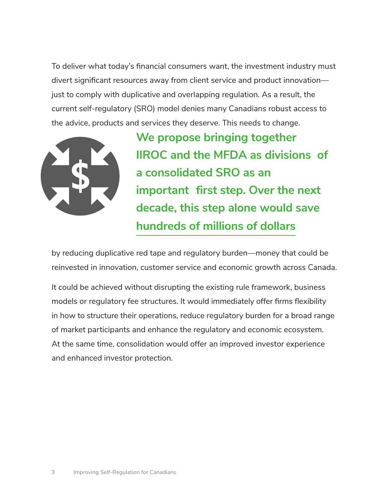To deliver what today's financial consumers want, the investment industry must divert significant resources away from client service and product innovation just to comply with duplicative and overlapping regulation. As a result, the current self-regulatory (SRO) model denies many Canadians robust access to the advice, products and services they deserve. This needs to change.



**We propose bringing together IIROC and the MFDA as divisions of a consolidated SRO as an important first step. Over the next decade, this step alone would save hundreds of millions of dollars**

by reducing duplicative red tape and regulatory burden—money that could be reinvested in innovation, customer service and economic growth across Canada.

 models or regulatory fee structures. It would immediately offer firms flexibility in how to structure their operations, reduce regulatory burden for a broad range It could be achieved without disrupting the existing rule framework, business of market participants and enhance the regulatory and economic ecosystem. At the same time, consolidation would offer an improved investor experience and enhanced investor protection.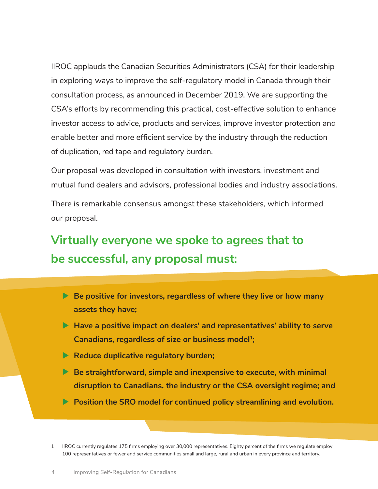IIROC applauds the Canadian Securities Administrators (CSA) for their leadership in exploring ways to improve the self-regulatory model in Canada through their consultation process, as announced in December 2019. We are supporting the CSA's efforts by recommending this practical, cost-effective solution to enhance investor access to advice, products and services, improve investor protection and enable better and more efficient service by the industry through the reduction of duplication, red tape and regulatory burden.

Our proposal was developed in consultation with investors, investment and mutual fund dealers and advisors, professional bodies and industry associations.

There is remarkable consensus amongst these stakeholders, which informed our proposal.

#### **Virtually everyone we spoke to agrees that to be successful, any proposal must:**

- **▶ Be positive for investors, regardless of where they live or how many assets they have;**
- **► Have a positive impact on dealers' and representatives' ability to serve** Canadians, regardless of size or business model<sup>1</sup>;
- **Reduce duplicative regulatory burden;**
- **▶ Be straightforward, simple and inexpensive to execute, with minimal disruption to Canadians, the industry or the CSA oversight regime; and**
- **Position the SRO model for continued policy streamlining and evolution.**

 1 IIROC currently regulates 175 firms employing over 30,000 representatives. Eighty percent of the firms we regulate employ 100 representatives or fewer and service communities small and large, rural and urban in every province and territory.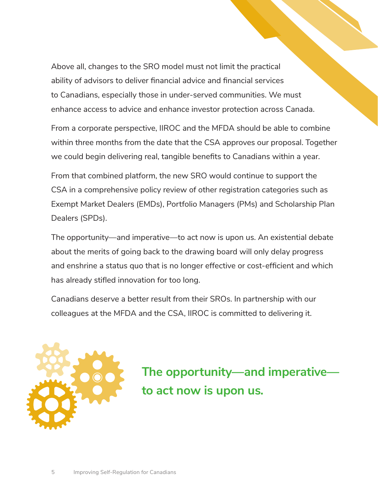Above all, changes to the SRO model must not limit the practical ability of advisors to deliver financial advice and financial services to Canadians, especially those in under-served communities. We must enhance access to advice and enhance investor protection across Canada.

From a corporate perspective, IIROC and the MFDA should be able to combine within three months from the date that the CSA approves our proposal. Together we could begin delivering real, tangible benefits to Canadians within a year.

From that combined platform, the new SRO would continue to support the CSA in a comprehensive policy review of other registration categories such as Exempt Market Dealers (EMDs), Portfolio Managers (PMs) and Scholarship Plan Dealers (SPDs).

The opportunity—and imperative—to act now is upon us. An existential debate about the merits of going back to the drawing board will only delay progress and enshrine a status quo that is no longer effective or cost-efficient and which has already stifled innovation for too long.

Canadians deserve a better result from their SROs. In partnership with our colleagues at the MFDA and the CSA, IIROC is committed to delivering it.



**The opportunity—and imperative to act now is upon us.**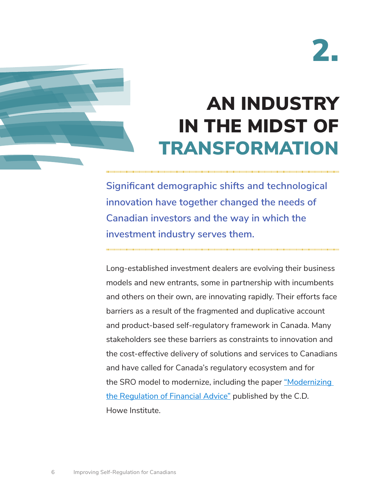

## AN INDUSTRY IN THE MIDST OF TRANSFORMATION

**Significant demographic shifts and technological innovation have together changed the needs of Canadian investors and the way in which the investment industry serves them.** 

Long-established investment dealers are evolving their business models and new entrants, some in partnership with incumbents and others on their own, are innovating rapidly. Their efforts face barriers as a result of the fragmented and duplicative account and product-based self-regulatory framework in Canada. Many stakeholders see these barriers as constraints to innovation and the cost-effective delivery of solutions and services to Canadians and have called for Canada's regulatory ecosystem and for the SRO model to modernize, including the paper "Modernizing [the Regulation of Financial Advice"](https://www.cdhowe.org/intelligence-memos/joanne-de-laurentiis-%E2%80%93-modernizing-regulation-financial-advice) published by the C.D. Howe Institute.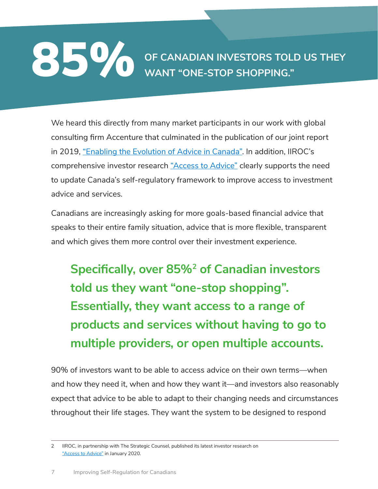## **OF CANADIAN INVESTORS TOLD US THEY WANT "ONE-STOP SHOPPING."**

We heard this directly from many market participants in our work with global consulting firm Accenture that culminated in the publication of our joint report in 2019, ["Enabling the Evolution of Advice in Canada"](https://www.iiroc.ca/industry/Documents/Evolution%20of%20Advice%20Report_EN.pdf). In addition, IIROC's comprehensive investor research ["Access to Advice"](https://www.iiroc.ca/investors/Documents/Access-to-Advice-Presentation-FD_en.pdf) clearly supports the need to update Canada's self-regulatory framework to improve access to investment advice and services.

Canadians are increasingly asking for more goals-based financial advice that speaks to their entire family situation, advice that is more flexible, transparent and which gives them more control over their investment experience.

**Specifically, over 85%2 of Canadian investors told us they want "one-stop shopping". Essentially, they want access to a range of products and services without having to go to multiple providers, or open multiple accounts.**

90% of investors want to be able to access advice on their own terms—when and how they need it, when and how they want it—and investors also reasonably expect that advice to be able to adapt to their changing needs and circumstances throughout their life stages. They want the system to be designed to respond

 2 IIROC, in partnership with The Strategic Counsel, published its latest investor research on ["Access to Advice"](https://www.iiroc.ca/investors/Documents/Access-to-Advice-Presentation-FD_en.pdf) in January 2020.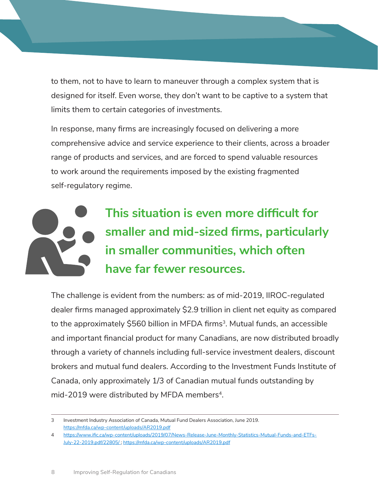to them, not to have to learn to maneuver through a complex system that is designed for itself. Even worse, they don't want to be captive to a system that limits them to certain categories of investments.

In response, many firms are increasingly focused on delivering a more comprehensive advice and service experience to their clients, across a broader range of products and services, and are forced to spend valuable resources to work around the requirements imposed by the existing fragmented self-regulatory regime.



The challenge is evident from the numbers: as of mid-2019, IIROC-regulated dealer firms managed approximately \$2.9 trillion in client net equity as compared to the approximately  $$560$  billion in MFDA firms<sup>3</sup>. Mutual funds, an accessible and important financial product for many Canadians, are now distributed broadly through a variety of channels including full-service investment dealers, discount brokers and mutual fund dealers. According to the Investment Funds Institute of Canada, only approximately 1/3 of Canadian mutual funds outstanding by mid-2019 were distributed by MFDA members<sup>4</sup>.

 $\mathcal{E}$ 3 Investment Industry Association of Canada, Mutual Fund Dealers Association, June 2019. <https://mfda.ca/wp-content/uploads/AR2019.pdf>

 $\overline{4}$ 4 [https://www.ific.ca/wp-content/uploads/2019/07/News-Release-June-Monthly-Statistics-Mutual-Funds-and-ETFs-](https://www.ific.ca/wp-content/uploads/2019/07/News-Release-June-Monthly-Statistics-Mutual-Funds-and-ETFs-July-22-2019.pdf/22805/)[July-22-2019.pdf/22805/](https://www.ific.ca/wp-content/uploads/2019/07/News-Release-June-Monthly-Statistics-Mutual-Funds-and-ETFs-July-22-2019.pdf/22805/) ; <https://mfda.ca/wp-content/uploads/AR2019.pdf>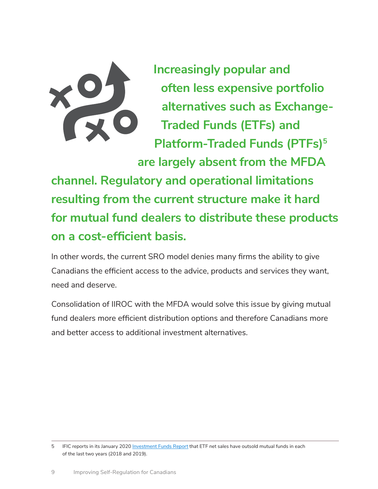

**Increasingly popular and often less expensive portfolio alternatives such as Exchange-Traded Funds (ETFs) and Platform-Traded Funds (PTFs)<sup>5</sup> are largely absent from the MFDA** 

**channel. Regulatory and operational limitations resulting from the current structure make it hard for mutual fund dealers to distribute these products on a cost-efficient basis.** 

In other words, the current SRO model denies many firms the ability to give Canadians the efficient access to the advice, products and services they want, need and deserve.

Consolidation of IIROC with the MFDA would solve this issue by giving mutual fund dealers more efficient distribution options and therefore Canadians more and better access to additional investment alternatives.

<sup>5</sup> IFIC reports in its January 2020 [Investment Funds Report](https://www.ific.ca/wp-content/uploads/2020/01/2019-IFIC-Investment-Funds-Report-January-23-2020.pdf/23970/) that ETF net sales have outsold mutual funds in each of the last two years (2018 and 2019).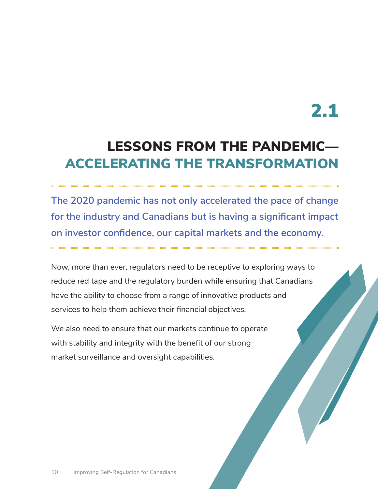### LESSONS FROM THE PANDEMIC— ACCELERATING THE TRANSFORMATION

**The 2020 pandemic has not only accelerated the pace of change for the industry and Canadians but is having a significant impact on investor confidence, our capital markets and the economy.** 

Now, more than ever, regulators need to be receptive to exploring ways to reduce red tape and the regulatory burden while ensuring that Canadians have the ability to choose from a range of innovative products and services to help them achieve their financial objectives.

We also need to ensure that our markets continue to operate with stability and integrity with the benefit of our strong market surveillance and oversight capabilities.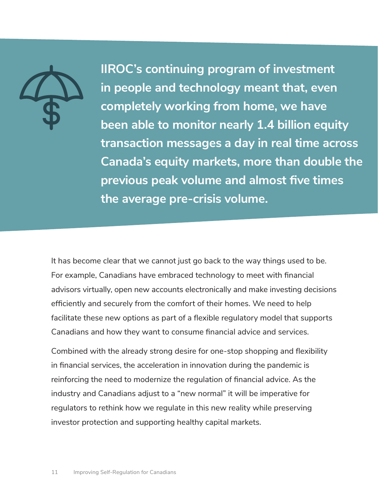

**IIROC's continuing program of investment in people and technology meant that, even completely working from home, we have been able to monitor nearly 1.4 billion equity transaction messages a day in real time across Canada's equity markets, more than double the previous peak volume and almost five times the average pre-crisis volume.** 

It has become clear that we cannot just go back to the way things used to be. For example, Canadians have embraced technology to meet with financial advisors virtually, open new accounts electronically and make investing decisions efficiently and securely from the comfort of their homes. We need to help facilitate these new options as part of a flexible regulatory model that supports Canadians and how they want to consume financial advice and services.

Combined with the already strong desire for one-stop shopping and flexibility in financial services, the acceleration in innovation during the pandemic is reinforcing the need to modernize the regulation of financial advice. As the industry and Canadians adjust to a "new normal" it will be imperative for regulators to rethink how we regulate in this new reality while preserving investor protection and supporting healthy capital markets.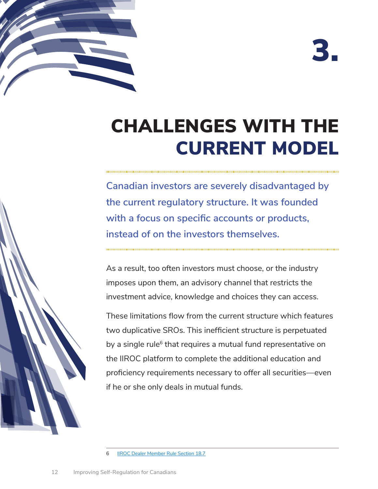



## CHALLENGES WITH THE CURRENT MODEL

**Canadian investors are severely disadvantaged by the current regulatory structure. It was founded with a focus on specific accounts or products, instead of on the investors themselves.** 

As a result, too often investors must choose, or the industry imposes upon them, an advisory channel that restricts the investment advice, knowledge and choices they can access.

These limitations flow from the current structure which features two duplicative SROs. This inefficient structure is perpetuated by a single rule<sup>6</sup> that requires a mutual fund representative on the IIROC platform to complete the additional education and proficiency requirements necessary to offer all securities—even if he or she only deals in mutual funds.

6 [IIROC Dealer Member Rule Section 18.7](https://www.iiroc.ca/RuleBook/MemberRules/RulesCollated_en.pdf)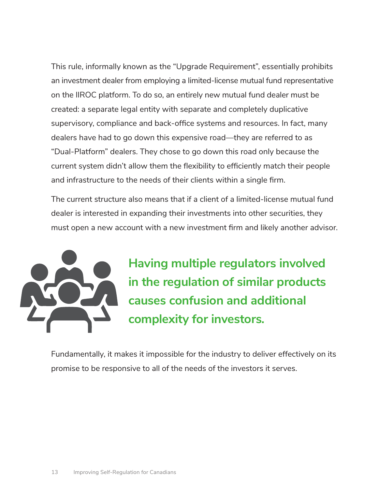This rule, informally known as the "Upgrade Requirement", essentially prohibits an investment dealer from employing a limited-license mutual fund representative on the IIROC platform. To do so, an entirely new mutual fund dealer must be created: a separate legal entity with separate and completely duplicative supervisory, compliance and back-office systems and resources. In fact, many dealers have had to go down this expensive road—they are referred to as "Dual-Platform" dealers. They chose to go down this road only because the current system didn't allow them the flexibility to efficiently match their people and infrastructure to the needs of their clients within a single firm.

The current structure also means that if a client of a limited-license mutual fund dealer is interested in expanding their investments into other securities, they must open a new account with a new investment firm and likely another advisor.



**Having multiple regulators involved in the regulation of similar products causes confusion and additional complexity for investors.**

Fundamentally, it makes it impossible for the industry to deliver effectively on its promise to be responsive to all of the needs of the investors it serves.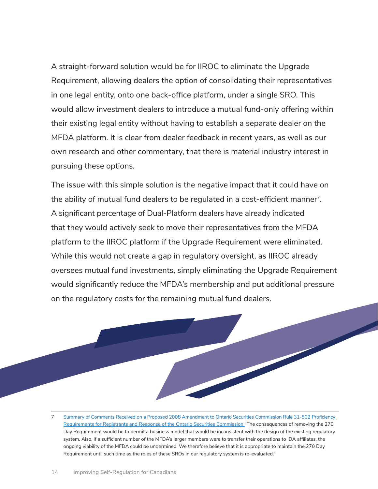A straight-forward solution would be for IIROC to eliminate the Upgrade Requirement, allowing dealers the option of consolidating their representatives in one legal entity, onto one back-office platform, under a single SRO. This would allow investment dealers to introduce a mutual fund-only offering within their existing legal entity without having to establish a separate dealer on the MFDA platform. It is clear from dealer feedback in recent years, as well as our own research and other commentary, that there is material industry interest in pursuing these options.

The issue with this simple solution is the negative impact that it could have on the ability of mutual fund dealers to be regulated in a cost-efficient manner<sup>7</sup>. A significant percentage of Dual-Platform dealers have already indicated that they would actively seek to move their representatives from the MFDA platform to the IIROC platform if the Upgrade Requirement were eliminated. While this would not create a gap in regulatory oversight, as IIROC already oversees mutual fund investments, simply eliminating the Upgrade Requirement would significantly reduce the MFDA's membership and put additional pressure on the regulatory costs for the remaining mutual fund dealers.



 $\overline{7}$ Summary of Comments Received on a Proposed 2008 Amendment to Ontario Securities Commission Rule 31-502 Proficiency [Requirements for Registrants and Response of the Ontario Securities Commission](https://www.osc.gov.on.ca/documents/en/Securities-Category3/rule_20080801_31-502_pro-req-reg.pdf) "The consequences of removing the 270 Day Requirement would be to permit a business model that would be inconsistent with the design of the existing regulatory system. Also, if a sufficient number of the MFDA's larger members were to transfer their operations to IDA affiliates, the ongoing viability of the MFDA could be undermined. We therefore believe that it is appropriate to maintain the 270 Day Requirement until such time as the roles of these SROs in our regulatory system is re-evaluated."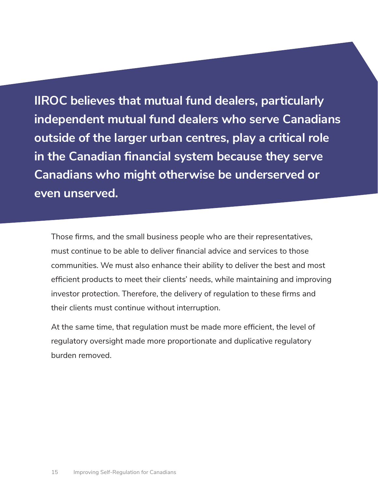**IIROC believes that mutual fund dealers, particularly independent mutual fund dealers who serve Canadians outside of the larger urban centres, play a critical role in the Canadian financial system because they serve Canadians who might otherwise be underserved or even unserved.** 

Those firms, and the small business people who are their representatives, must continue to be able to deliver financial advice and services to those communities. We must also enhance their ability to deliver the best and most efficient products to meet their clients' needs, while maintaining and improving investor protection. Therefore, the delivery of regulation to these firms and their clients must continue without interruption.

At the same time, that regulation must be made more efficient, the level of regulatory oversight made more proportionate and duplicative regulatory burden removed.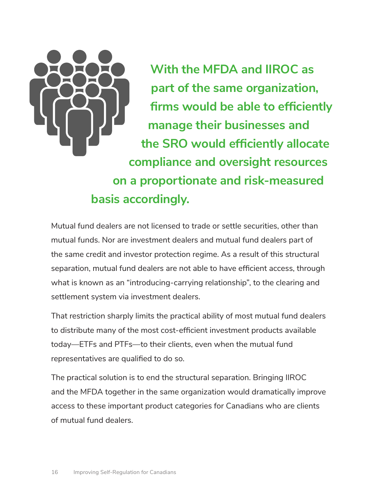

**With the MFDA and IIROC as part of the same organization, firms would be able to efficiently manage their businesses and the SRO would efficiently allocate compliance and oversight resources on a proportionate and risk-measured basis accordingly.** 

Mutual fund dealers are not licensed to trade or settle securities, other than mutual funds. Nor are investment dealers and mutual fund dealers part of the same credit and investor protection regime. As a result of this structural separation, mutual fund dealers are not able to have efficient access, through what is known as an "introducing-carrying relationship", to the clearing and settlement system via investment dealers.

That restriction sharply limits the practical ability of most mutual fund dealers to distribute many of the most cost-efficient investment products available today—ETFs and PTFs—to their clients, even when the mutual fund representatives are qualified to do so.

The practical solution is to end the structural separation. Bringing IIROC and the MFDA together in the same organization would dramatically improve access to these important product categories for Canadians who are clients of mutual fund dealers.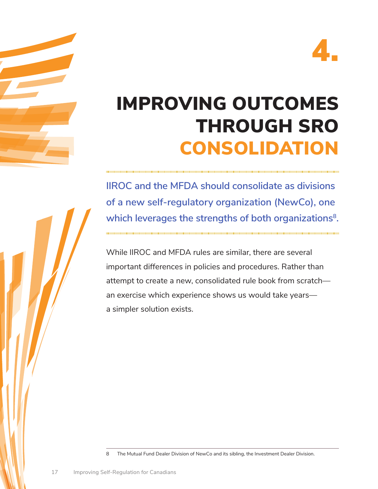

## IMPROVING OUTCOMES THROUGH SRO CONSOLIDATION

**IIROC and the MFDA should consolidate as divisions of a new self-regulatory organization (NewCo), one**  which leverages the strengths of both organizations<sup>8</sup>.

While IIROC and MFDA rules are similar, there are several important differences in policies and procedures. Rather than attempt to create a new, consolidated rule book from scratch an exercise which experience shows us would take years a simpler solution exists.

8 The Mutual Fund Dealer Division of NewCo and its sibling, the Investment Dealer Division.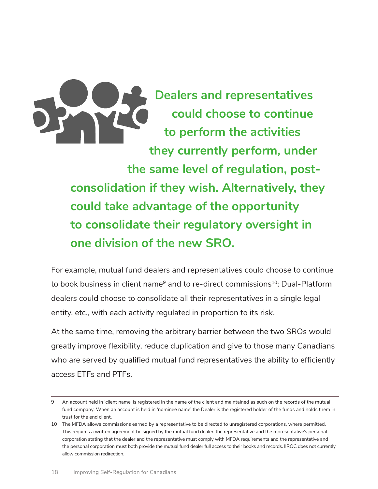

**Dealers and representatives could choose to continue to perform the activities they currently perform, under the same level of regulation, postconsolidation if they wish. Alternatively, they could take advantage of the opportunity to consolidate their regulatory oversight in one division of the new SRO.** 

For example, mutual fund dealers and representatives could choose to continue to book business in client name<sup>9</sup> and to re-direct commissions<sup>10</sup>; Dual-Platform dealers could choose to consolidate all their representatives in a single legal entity, etc., with each activity regulated in proportion to its risk.

At the same time, removing the arbitrary barrier between the two SROs would greatly improve flexibility, reduce duplication and give to those many Canadians who are served by qualified mutual fund representatives the ability to efficiently access ETFs and PTFs.

<sup>9</sup> 9 An account held in 'client name' is registered in the name of the client and maintained as such on the records of the mutual fund company. When an account is held in 'nominee name' the Dealer is the registered holder of the funds and holds them in trust for the end client.

<sup>10</sup> The MFDA allows commissions earned by a representative to be directed to unregistered corporations, where permitted. the personal corporation must both provide the mutual fund dealer full access to their books and records. IIROC does not currently This requires a written agreement be signed by the mutual fund dealer, the representative and the representative's personal corporation stating that the dealer and the representative must comply with MFDA requirements and the representative and allow commission redirection.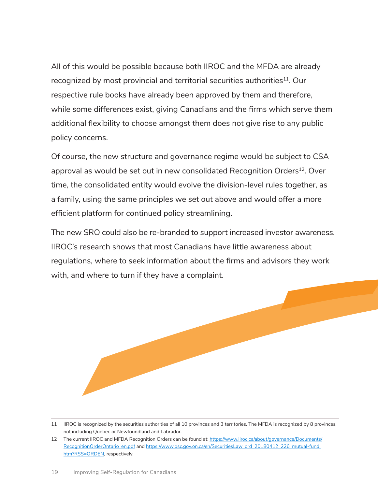All of this would be possible because both IIROC and the MFDA are already recognized by most provincial and territorial securities authorities<sup>11</sup>. Our respective rule books have already been approved by them and therefore, while some differences exist, giving Canadians and the firms which serve them additional flexibility to choose amongst them does not give rise to any public policy concerns.

Of course, the new structure and governance regime would be subject to CSA approval as would be set out in new consolidated Recognition Orders<sup>12</sup>. Over time, the consolidated entity would evolve the division-level rules together, as a family, using the same principles we set out above and would offer a more efficient platform for continued policy streamlining.

The new SRO could also be re-branded to support increased investor awareness. IIROC's research shows that most Canadians have little awareness about regulations, where to seek information about the firms and advisors they work with, and where to turn if they have a complaint.



<sup>11</sup> IIROC is recognized by the securities authorities of all 10 provinces and 3 territories. The MFDA is recognized by 8 provinces, not including Quebec or Newfoundland and Labrador.

<sup>12</sup> The current IIROC and MFDA Recognition Orders can be found at: https://www.iiroc.ca/about/governance/Documents/ [RecognitionOrderOntario\\_en.pdf](https://www.iiroc.ca/about/governance/Documents/RecognitionOrderOntario_en.pdf) and [https://www.osc.gov.on.ca/en/SecuritiesLaw\\_ord\\_20180412\\_226\\_mutual-fund.](https://www.osc.gov.on.ca/en/SecuritiesLaw_ord_20180412_226_mutual-fund.htm?RSS=ORDEN)  [htm?RSS=ORDEN,](https://www.osc.gov.on.ca/en/SecuritiesLaw_ord_20180412_226_mutual-fund.htm?RSS=ORDEN) respectively.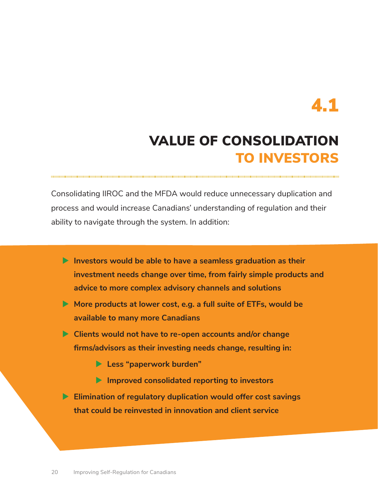### VALUE OF CONSOLIDATION TO INVESTORS

Consolidating IIROC and the MFDA would reduce unnecessary duplication and process and would increase Canadians' understanding of regulation and their ability to navigate through the system. In addition:

- **Investors would be able to have a seamless graduation as their investment needs change over time, from fairly simple products and advice to more complex advisory channels and solutions**
- ▶ More products at lower cost, e.g. a full suite of ETFs, would be **available to many more Canadians**
- **Clients would not have to re-open accounts and/or change firms/advisors as their investing needs change, resulting in:** 
	- **Less "paperwork burden"**
	- **Improved consolidated reporting to investors**
- **Elimination of regulatory duplication would offer cost savings that could be reinvested in innovation and client service**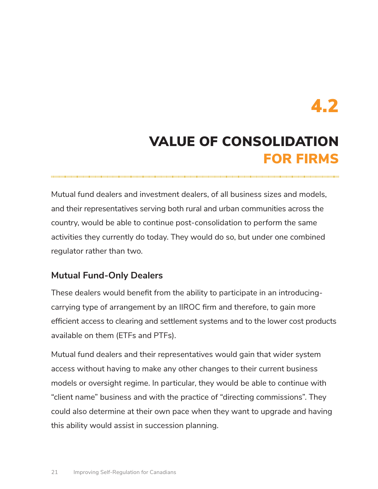### VALUE OF CONSOLIDATION FOR FIRMS

Mutual fund dealers and investment dealers, of all business sizes and models, and their representatives serving both rural and urban communities across the country, would be able to continue post-consolidation to perform the same activities they currently do today. They would do so, but under one combined regulator rather than two.

#### **Mutual Fund-Only Dealers**

These dealers would benefit from the ability to participate in an introducingcarrying type of arrangement by an IIROC firm and therefore, to gain more efficient access to clearing and settlement systems and to the lower cost products available on them (ETFs and PTFs).

Mutual fund dealers and their representatives would gain that wider system access without having to make any other changes to their current business models or oversight regime. In particular, they would be able to continue with "client name" business and with the practice of "directing commissions". They could also determine at their own pace when they want to upgrade and having this ability would assist in succession planning.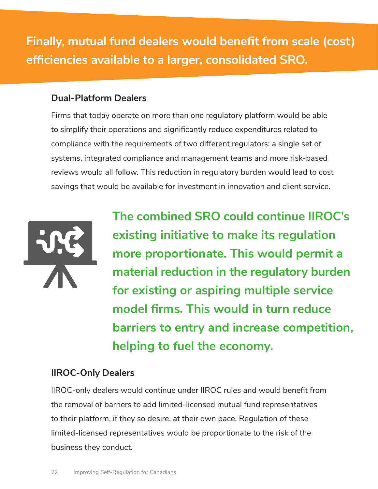**Finally, mutual fund dealers would benefit from scale (cost) efficiencies available to a larger, consolidated SRO.** 

#### **Dual-Platform Dealers**

Firms that today operate on more than one regulatory platform would be able to simplify their operations and significantly reduce expenditures related to compliance with the requirements of two different regulators: a single set of systems, integrated compliance and management teams and more risk-based reviews would all follow. This reduction in regulatory burden would lead to cost savings that would be available for investment in innovation and client service.



**The combined SRO could continue IIROC's existing initiative to make its regulation more proportionate. This would permit a material reduction in the regulatory burden for existing or aspiring multiple service model firms. This would in turn reduce barriers to entry and increase competition, helping to fuel the economy.** 

#### **IIROC-Only Dealers**

IIROC-only dealers would continue under IIROC rules and would benefit from the removal of barriers to add limited-licensed mutual fund representatives to their platform, if they so desire, at their own pace. Regulation of these limited-licensed representatives would be proportionate to the risk of the business they conduct.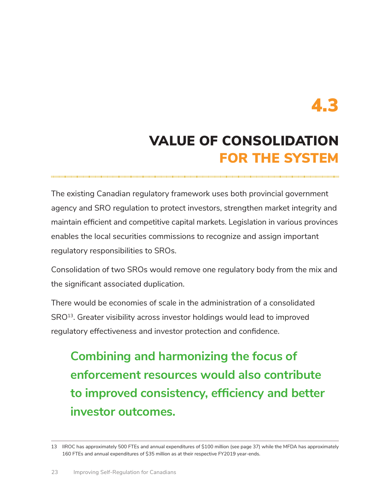### VALUE OF CONSOLIDATION FOR THE SYSTEM

The existing Canadian regulatory framework uses both provincial government agency and SRO regulation to protect investors, strengthen market integrity and maintain efficient and competitive capital markets. Legislation in various provinces enables the local securities commissions to recognize and assign important regulatory responsibilities to SROs.

Consolidation of two SROs would remove one regulatory body from the mix and the significant associated duplication.

There would be economies of scale in the administration of a consolidated SRO<sup>13</sup>. Greater visibility across investor holdings would lead to improved regulatory effectiveness and investor protection and confidence.

**Combining and harmonizing the focus of enforcement resources would also contribute to improved consistency, efficiency and better investor outcomes.** 

 13 IIROC has approximately 500 FTEs and annual expenditures of \$100 million (see page 37) while the MFDA has approximately 160 FTEs and annual expenditures of \$35 million as at their respective FY2019 year-ends.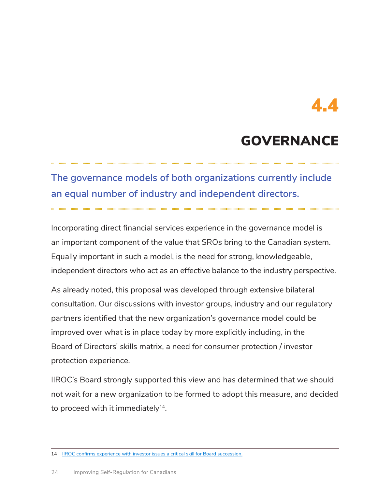#### GOVERNANCE

#### **The governance models of both organizations currently include an equal number of industry and independent directors.**

Incorporating direct financial services experience in the governance model is an important component of the value that SROs bring to the Canadian system. Equally important in such a model, is the need for strong, knowledgeable, independent directors who act as an effective balance to the industry perspective.

As already noted, this proposal was developed through extensive bilateral consultation. Our discussions with investor groups, industry and our regulatory partners identified that the new organization's governance model could be improved over what is in place today by more explicitly including, in the Board of Directors' skills matrix, a need for consumer protection / investor protection experience.

IIROC's Board strongly supported this view and has determined that we should not wait for a new organization to be formed to adopt this measure, and decided to proceed with it immediately<sup>14</sup>.

<sup>14</sup> IIROC confirms experience with investor issues a critical skill for Board succession.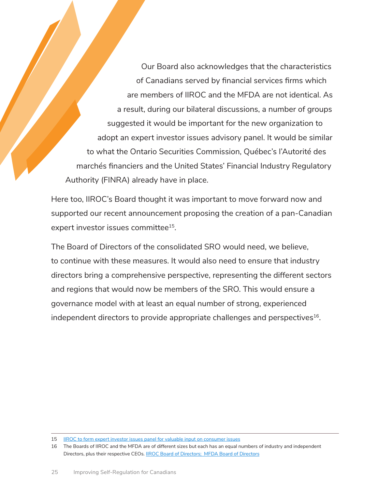Our Board also acknowledges that the characteristics of Canadians served by financial services firms which are members of IIROC and the MFDA are not identical. As a result, during our bilateral discussions, a number of groups suggested it would be important for the new organization to adopt an expert investor issues advisory panel. It would be similar to what the Ontario Securities Commission, Québec's l'Autorité des marchés financiers and the United States' Financial Industry Regulatory Authority (FINRA) already have in place.

Here too, IIROC's Board thought it was important to move forward now and supported our recent announcement proposing the creation of a pan-Canadian expert investor issues committee<sup>15</sup>.

The Board of Directors of the consolidated SRO would need, we believe, to continue with these measures. It would also need to ensure that industry directors bring a comprehensive perspective, representing the different sectors and regions that would now be members of the SRO. This would ensure a governance model with at least an equal number of strong, experienced independent directors to provide appropriate challenges and perspectives<sup>16</sup>.

<sup>15</sup> [IIROC to form expert investor issues panel for valuable input on consumer issues](https://www.iiroc.ca/Documents/2020/a75ad083-294d-49b8-95c3-16f8942ef95f_en.pdf)

 16 The Boards of IIROC and the MFDA are of different sizes but each has an equal numbers of industry and independent Directors, plus their respective CEOs. **IIROC Board of Directors**; [MFDA Board of Directors](https://mfda.ca/about/board-of-directors/)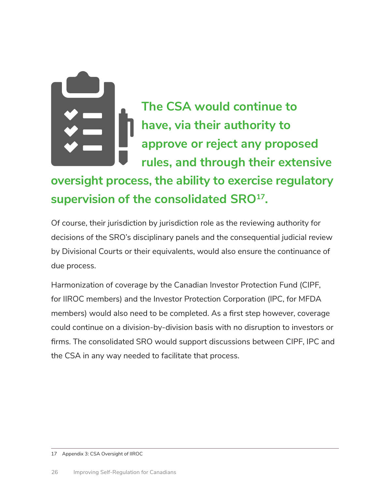

**The CSA would continue to have, via their authority to approve or reject any proposed rules, and through their extensive** 

#### **oversight process, the ability to exercise regulatory supervision of the consolidated SRO17.**

Of course, their jurisdiction by jurisdiction role as the reviewing authority for decisions of the SRO's disciplinary panels and the consequential judicial review by Divisional Courts or their equivalents, would also ensure the continuance of due process.

Harmonization of coverage by the Canadian Investor Protection Fund (CIPF, for IIROC members) and the Investor Protection Corporation (IPC, for MFDA members) would also need to be completed. As a first step however, coverage could continue on a division-by-division basis with no disruption to investors or firms. The consolidated SRO would support discussions between CIPF, IPC and the CSA in any way needed to facilitate that process.

17 Appendix 3: CSA Oversight of IIROC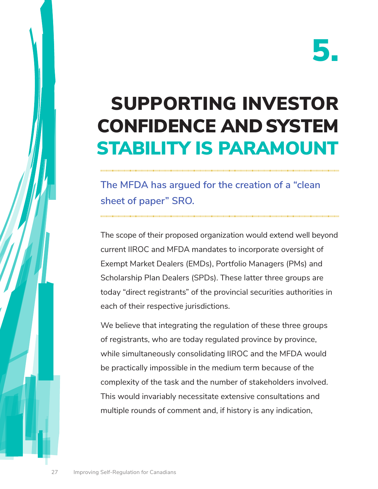## SUPPORTING INVESTOR CONFIDENCE AND SYSTEM STABILITY IS PARAMOUNT

#### **The MFDA has argued for the creation of a "clean sheet of paper" SRO.**

The scope of their proposed organization would extend well beyond current IIROC and MFDA mandates to incorporate oversight of Exempt Market Dealers (EMDs), Portfolio Managers (PMs) and Scholarship Plan Dealers (SPDs). These latter three groups are today "direct registrants" of the provincial securities authorities in each of their respective jurisdictions.

We believe that integrating the regulation of these three groups of registrants, who are today regulated province by province, while simultaneously consolidating IIROC and the MFDA would be practically impossible in the medium term because of the complexity of the task and the number of stakeholders involved. This would invariably necessitate extensive consultations and multiple rounds of comment and, if history is any indication,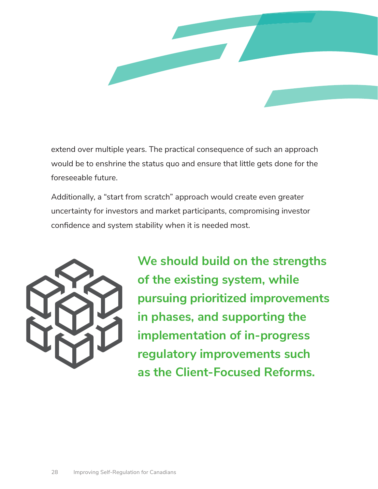

extend over multiple years. The practical consequence of such an approach would be to enshrine the status quo and ensure that little gets done for the foreseeable future.

Additionally, a "start from scratch" approach would create even greater uncertainty for investors and market participants, compromising investor confidence and system stability when it is needed most.



**We should build on the strengths of the existing system, while pursuing prioritized improvements in phases, and supporting the implementation of in-progress regulatory improvements such as the Client-Focused Reforms.**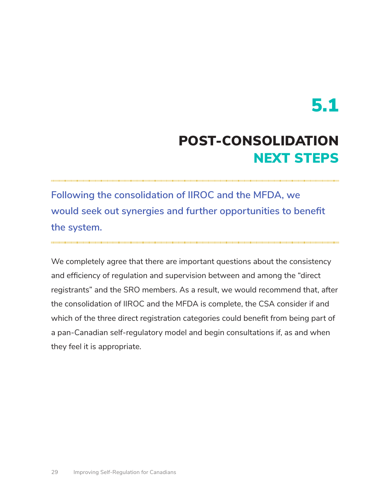### POST-CONSOLIDATION NEXT STEPS

**Following the consolidation of IIROC and the MFDA, we would seek out synergies and further opportunities to benefit the system.** 

We completely agree that there are important questions about the consistency and efficiency of regulation and supervision between and among the "direct registrants" and the SRO members. As a result, we would recommend that, after the consolidation of IIROC and the MFDA is complete, the CSA consider if and which of the three direct registration categories could benefit from being part of a pan-Canadian self-regulatory model and begin consultations if, as and when they feel it is appropriate.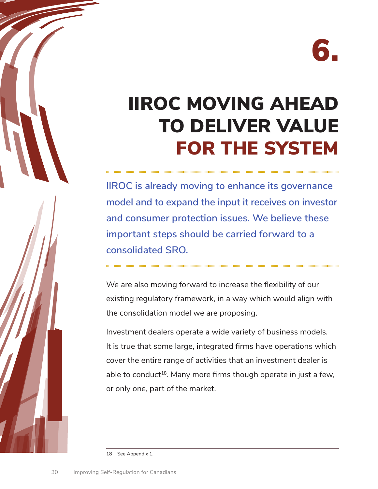## IIROC MOVING AHEAD TO DELIVER VALUE FOR THE SYSTEM

**IIROC is already moving to enhance its governance model and to expand the input it receives on investor and consumer protection issues. We believe these important steps should be carried forward to a consolidated SRO.** 

We are also moving forward to increase the flexibility of our existing regulatory framework, in a way which would align with the consolidation model we are proposing.

Investment dealers operate a wide variety of business models. It is true that some large, integrated firms have operations which cover the entire range of activities that an investment dealer is able to conduct<sup>18</sup>. Many more firms though operate in just a few, or only one, part of the market.

18 See Appendix 1.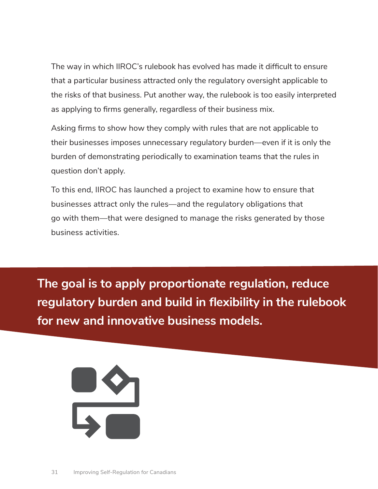The way in which IIROC's rulebook has evolved has made it difficult to ensure that a particular business attracted only the regulatory oversight applicable to the risks of that business. Put another way, the rulebook is too easily interpreted as applying to firms generally, regardless of their business mix.

Asking firms to show how they comply with rules that are not applicable to their businesses imposes unnecessary regulatory burden—even if it is only the burden of demonstrating periodically to examination teams that the rules in question don't apply.

To this end, IIROC has launched a project to examine how to ensure that businesses attract only the rules—and the regulatory obligations that go with them—that were designed to manage the risks generated by those business activities.

**The goal is to apply proportionate regulation, reduce regulatory burden and build in flexibility in the rulebook for new and innovative business models.** 

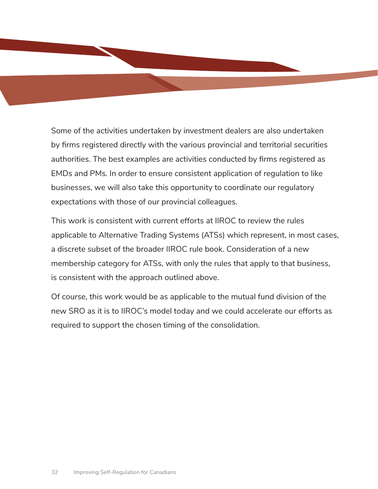Some of the activities undertaken by investment dealers are also undertaken by firms registered directly with the various provincial and territorial securities authorities. The best examples are activities conducted by firms registered as EMDs and PMs. In order to ensure consistent application of regulation to like businesses, we will also take this opportunity to coordinate our regulatory expectations with those of our provincial colleagues.

This work is consistent with current efforts at IIROC to review the rules applicable to Alternative Trading Systems (ATSs) which represent, in most cases, a discrete subset of the broader IIROC rule book. Consideration of a new membership category for ATSs, with only the rules that apply to that business, is consistent with the approach outlined above.

Of course, this work would be as applicable to the mutual fund division of the new SRO as it is to IIROC's model today and we could accelerate our efforts as required to support the chosen timing of the consolidation.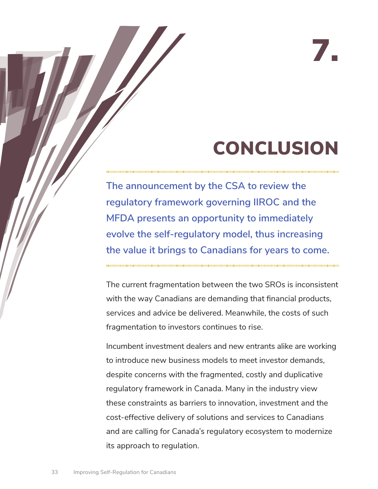## CONCLUSION

7.

**The announcement by the CSA to review the regulatory framework governing IIROC and the MFDA presents an opportunity to immediately evolve the self-regulatory model, thus increasing the value it brings to Canadians for years to come.** 

The current fragmentation between the two SROs is inconsistent with the way Canadians are demanding that financial products, services and advice be delivered. Meanwhile, the costs of such fragmentation to investors continues to rise.

Incumbent investment dealers and new entrants alike are working to introduce new business models to meet investor demands, despite concerns with the fragmented, costly and duplicative regulatory framework in Canada. Many in the industry view these constraints as barriers to innovation, investment and the cost-effective delivery of solutions and services to Canadians and are calling for Canada's regulatory ecosystem to modernize its approach to regulation.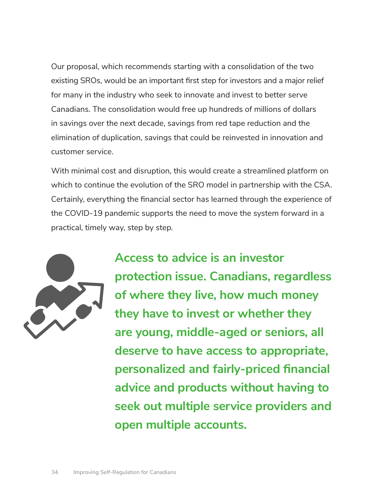Our proposal, which recommends starting with a consolidation of the two existing SROs, would be an important first step for investors and a major relief for many in the industry who seek to innovate and invest to better serve Canadians. The consolidation would free up hundreds of millions of dollars in savings over the next decade, savings from red tape reduction and the elimination of duplication, savings that could be reinvested in innovation and customer service.

With minimal cost and disruption, this would create a streamlined platform on which to continue the evolution of the SRO model in partnership with the CSA. Certainly, everything the financial sector has learned through the experience of the COVID-19 pandemic supports the need to move the system forward in a practical, timely way, step by step.



**Access to advice is an investor protection issue. Canadians, regardless of where they live, how much money they have to invest or whether they are young, middle-aged or seniors, all deserve to have access to appropriate, personalized and fairly-priced financial advice and products without having to seek out multiple service providers and open multiple accounts.**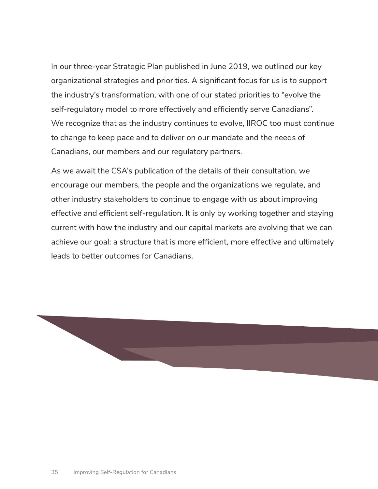In our three-year Strategic Plan published in June 2019, we outlined our key organizational strategies and priorities. A significant focus for us is to support the industry's transformation, with one of our stated priorities to "evolve the self-regulatory model to more effectively and efficiently serve Canadians". We recognize that as the industry continues to evolve, IIROC too must continue to change to keep pace and to deliver on our mandate and the needs of Canadians, our members and our regulatory partners.

As we await the CSA's publication of the details of their consultation, we encourage our members, the people and the organizations we regulate, and other industry stakeholders to continue to engage with us about improving effective and efficient self-regulation. It is only by working together and staying current with how the industry and our capital markets are evolving that we can achieve our goal: a structure that is more efficient, more effective and ultimately leads to better outcomes for Canadians.

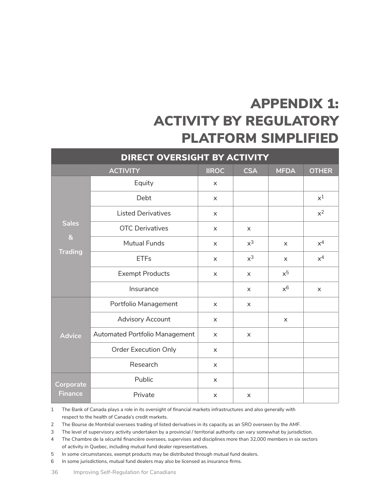### APPENDIX 1: ACTIVITY BY REGULATORY PLATFORM SIMPLIFIED

| DIRECT OVERSIGHT BY ACTIVITY                     |                                |                |              |                |              |
|--------------------------------------------------|--------------------------------|----------------|--------------|----------------|--------------|
| <b>ACTIVITY</b>                                  |                                | <b>IIROC</b>   | <b>CSA</b>   | <b>MFDA</b>    | <b>OTHER</b> |
| <b>Sales</b><br>8 <sub>k</sub><br><b>Trading</b> | Equity                         | $\mathsf{x}$   |              |                |              |
|                                                  | Debt                           | $\times$       |              |                | $x^1$        |
|                                                  | <b>Listed Derivatives</b>      | $\mathsf{x}$   |              |                | $x^2$        |
|                                                  | <b>OTC Derivatives</b>         | $\times$       | $\times$     |                |              |
|                                                  | <b>Mutual Funds</b>            | $\times$       | $x^3$        | $\times$       | $x^4$        |
|                                                  | <b>ETFs</b>                    | $\times$       | $x^3$        | $\times$       | $x^4$        |
|                                                  | <b>Exempt Products</b>         | $\mathsf{x}$   | $\mathsf{x}$ | $x^5$          |              |
|                                                  | Insurance                      |                | $\mathsf{x}$ | $x^6$          | $\times$     |
| <b>Advice</b>                                    | Portfolio Management           | $\pmb{\times}$ | X            |                |              |
|                                                  | Advisory Account               | $\times$       |              | $\pmb{\times}$ |              |
|                                                  | Automated Portfolio Management | $\mathsf{x}$   | $\mathsf{x}$ |                |              |
|                                                  | <b>Order Execution Only</b>    | $\times$       |              |                |              |
|                                                  | Research                       | $\pmb{\times}$ |              |                |              |
| Corporate<br><b>Finance</b>                      | Public                         | $\times$       |              |                |              |
|                                                  | Private                        | X              | $\mathsf{x}$ |                |              |

1 The Bank of Canada plays a role in its oversight of financial markets infrastructures and also generally with respect to the health of Canada's credit markets.

2 The Bourse de Montréal oversees trading of listed derivatives in its capacity as an SRO overseen by the AMF.

3 The level of supervisory activity undertaken by a provincial / territorial authority can vary somewhat by jurisdiction.

 $\overline{4}$ The Chambre de la sécurité financière oversees, supervises and disciplines more than 32,000 members in six sectors of activity in Quebec, including mutual fund dealer representatives.

5 In some circumstances, exempt products may be distributed through mutual fund dealers.

6 In some jurisdictions, mutual fund dealers may also be licensed as insurance firms.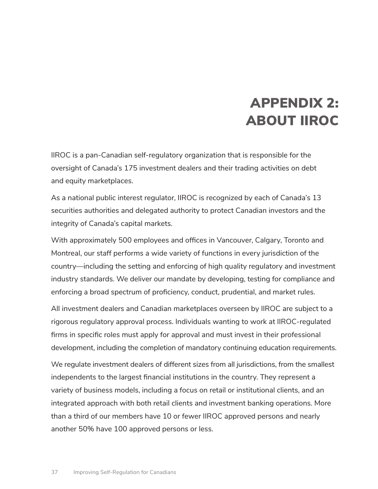#### APPENDIX 2: ABOUT IIROC

IIROC is a pan-Canadian self-regulatory organization that is responsible for the oversight of Canada's 175 investment dealers and their trading activities on debt and equity marketplaces.

As a national public interest regulator, IIROC is recognized by each of Canada's 13 securities authorities and delegated authority to protect Canadian investors and the integrity of Canada's capital markets.

With approximately 500 employees and offices in Vancouver, Calgary, Toronto and Montreal, our staff performs a wide variety of functions in every jurisdiction of the country—including the setting and enforcing of high quality regulatory and investment industry standards. We deliver our mandate by developing, testing for compliance and enforcing a broad spectrum of proficiency, conduct, prudential, and market rules.

All investment dealers and Canadian marketplaces overseen by IIROC are subject to a rigorous regulatory approval process. Individuals wanting to work at IIROC-regulated firms in specific roles must apply for approval and must invest in their professional development, including the completion of mandatory continuing education requirements.

We regulate investment dealers of different sizes from all jurisdictions, from the smallest independents to the largest financial institutions in the country. They represent a variety of business models, including a focus on retail or institutional clients, and an integrated approach with both retail clients and investment banking operations. More than a third of our members have 10 or fewer IIROC approved persons and nearly another 50% have 100 approved persons or less.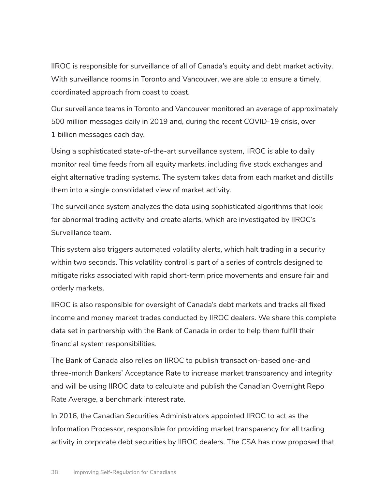IIROC is responsible for surveillance of all of Canada's equity and debt market activity. With surveillance rooms in Toronto and Vancouver, we are able to ensure a timely, coordinated approach from coast to coast.

Our surveillance teams in Toronto and Vancouver monitored an average of approximately 500 million messages daily in 2019 and, during the recent COVID-19 crisis, over 1 billion messages each day.

Using a sophisticated state-of-the-art surveillance system, IIROC is able to daily monitor real time feeds from all equity markets, including five stock exchanges and eight alternative trading systems. The system takes data from each market and distills them into a single consolidated view of market activity.

The surveillance system analyzes the data using sophisticated algorithms that look for abnormal trading activity and create alerts, which are investigated by IIROC's Surveillance team.

This system also triggers automated volatility alerts, which halt trading in a security within two seconds. This volatility control is part of a series of controls designed to mitigate risks associated with rapid short-term price movements and ensure fair and orderly markets.

IIROC is also responsible for oversight of Canada's debt markets and tracks all fixed income and money market trades conducted by IIROC dealers. We share this complete data set in partnership with the Bank of Canada in order to help them fulfill their financial system responsibilities.

The Bank of Canada also relies on IIROC to publish transaction-based one-and three-month Bankers' Acceptance Rate to increase market transparency and integrity and will be using IIROC data to calculate and publish the Canadian Overnight Repo Rate Average, a benchmark interest rate.

In 2016, the Canadian Securities Administrators appointed IIROC to act as the Information Processor, responsible for providing market transparency for all trading activity in corporate debt securities by IIROC dealers. The CSA has now proposed that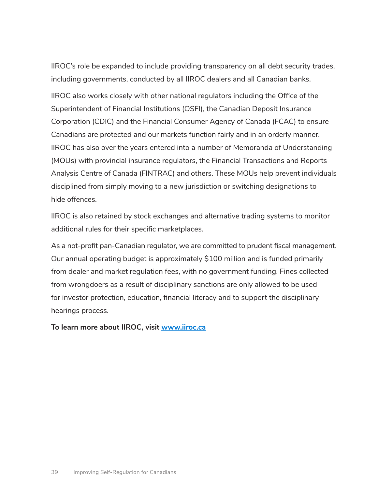IIROC's role be expanded to include providing transparency on all debt security trades, including governments, conducted by all IIROC dealers and all Canadian banks.

IIROC also works closely with other national regulators including the Office of the Superintendent of Financial Institutions (OSFI), the Canadian Deposit Insurance Corporation (CDIC) and the Financial Consumer Agency of Canada (FCAC) to ensure Canadians are protected and our markets function fairly and in an orderly manner. IIROC has also over the years entered into a number of Memoranda of Understanding (MOUs) with provincial insurance regulators, the Financial Transactions and Reports Analysis Centre of Canada (FINTRAC) and others. These MOUs help prevent individuals disciplined from simply moving to a new jurisdiction or switching designations to hide offences.

IIROC is also retained by stock exchanges and alternative trading systems to monitor additional rules for their specific marketplaces.

As a not-profit pan-Canadian regulator, we are committed to prudent fiscal management. Our annual operating budget is approximately \$100 million and is funded primarily from dealer and market regulation fees, with no government funding. Fines collected from wrongdoers as a result of disciplinary sanctions are only allowed to be used for investor protection, education, financial literacy and to support the disciplinary hearings process.

**To learn more about IIROC, visit [www.iiroc.ca](http://www.iiroc.ca)**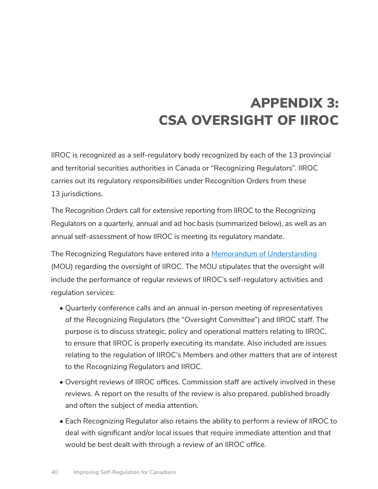### APPENDIX 3: CSA OVERSIGHT OF IIROC

IIROC is recognized as a self-regulatory body recognized by each of the 13 provincial and territorial securities authorities in Canada or "Recognizing Regulators". IIROC carries out its regulatory responsibilities under Recognition Orders from these 13 jurisdictions.

The Recognition Orders call for extensive reporting from IIROC to the Recognizing Regulators on a quarterly, annual and ad hoc basis (summarized below), as well as an annual self-assessment of how IIROC is meeting its regulatory mandate.

The Recognizing Regulators have entered into a [Memorandum of Understanding](http://www.iiroc.ca/about/governance/Documents/MemorandumOfUnderstanding_en.pdf) (MOU) regarding the oversight of IIROC. The MOU stipulates that the oversight will include the performance of regular reviews of IIROC's self-regulatory activities and regulation services:

- Quarterly conference calls and an annual in-person meeting of representatives of the Recognizing Regulators (the "Oversight Committee") and IIROC staff. The purpose is to discuss strategic, policy and operational matters relating to IIROC, to ensure that IIROC is properly executing its mandate. Also included are issues relating to the regulation of IIROC's Members and other matters that are of interest to the Recognizing Regulators and IIROC.
- Oversight reviews of IIROC offices. Commission staff are actively involved in these reviews. A report on the results of the review is also prepared, published broadly and often the subject of media attention.
- Each Recognizing Regulator also retains the ability to perform a review of IIROC to deal with significant and/or local issues that require immediate attention and that would be best dealt with through a review of an IIROC office.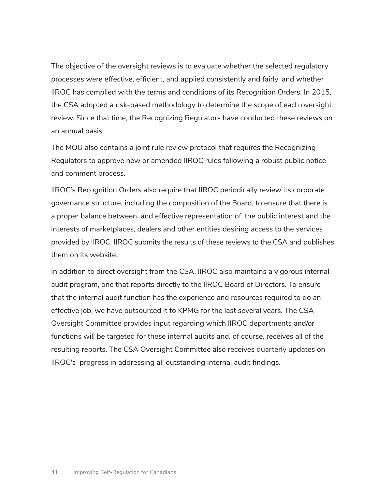The objective of the oversight reviews is to evaluate whether the selected regulatory processes were effective, efficient, and applied consistently and fairly, and whether IIROC has complied with the terms and conditions of its Recognition Orders. In 2015, the CSA adopted a risk-based methodology to determine the scope of each oversight review. Since that time, the Recognizing Regulators have conducted these reviews on an annual basis.

The MOU also contains a joint rule review protocol that requires the Recognizing Regulators to approve new or amended IIROC rules following a robust public notice and comment process.

IIROC's Recognition Orders also require that IIROC periodically review its corporate governance structure, including the composition of the Board, to ensure that there is a proper balance between, and effective representation of, the public interest and the interests of marketplaces, dealers and other entities desiring access to the services provided by IIROC. IIROC submits the results of these reviews to the CSA and publishes them on its website.

In addition to direct oversight from the CSA, IIROC also maintains a vigorous internal audit program, one that reports directly to the IIROC Board of Directors. To ensure that the internal audit function has the experience and resources required to do an effective job, we have outsourced it to KPMG for the last several years. The CSA Oversight Committee provides input regarding which IIROC departments and/or functions will be targeted for these internal audits and, of course, receives all of the resulting reports. The CSA Oversight Committee also receives quarterly updates on IIROC's progress in addressing all outstanding internal audit findings.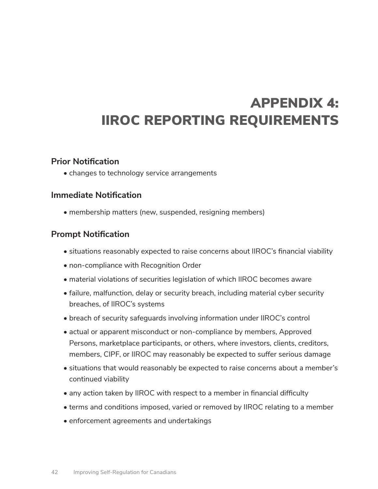### APPENDIX 4: IIROC REPORTING REQUIREMENTS

#### **Prior Notification**

• changes to technology service arrangements

#### **Immediate Notification**

• membership matters (new, suspended, resigning members)

#### **Prompt Notification**

- situations reasonably expected to raise concerns about IIROC's financial viability
- non-compliance with Recognition Order
- material violations of securities legislation of which IIROC becomes aware
- failure, malfunction, delay or security breach, including material cyber security breaches, of IIROC's systems
- breach of security safeguards involving information under IIROC's control
- actual or apparent misconduct or non-compliance by members, Approved Persons, marketplace participants, or others, where investors, clients, creditors, members, CIPF, or IIROC may reasonably be expected to suffer serious damage
- situations that would reasonably be expected to raise concerns about a member's continued viability
- any action taken by IIROC with respect to a member in financial difficulty
- terms and conditions imposed, varied or removed by IIROC relating to a member
- enforcement agreements and undertakings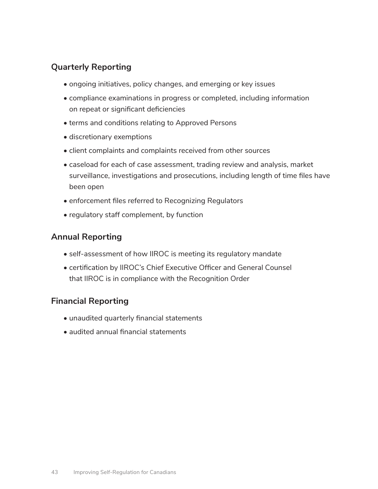#### **Quarterly Reporting**

- ongoing initiatives, policy changes, and emerging or key issues
- compliance examinations in progress or completed, including information on repeat or significant deficiencies
- terms and conditions relating to Approved Persons
- discretionary exemptions
- client complaints and complaints received from other sources
- caseload for each of case assessment, trading review and analysis, market surveillance, investigations and prosecutions, including length of time files have been open
- enforcement files referred to Recognizing Regulators
- regulatory staff complement, by function

#### **Annual Reporting**

- self-assessment of how IIROC is meeting its regulatory mandate
- certification by IIROC's Chief Executive Officer and General Counsel that IIROC is in compliance with the Recognition Order

#### **Financial Reporting**

- unaudited quarterly financial statements
- audited annual financial statements